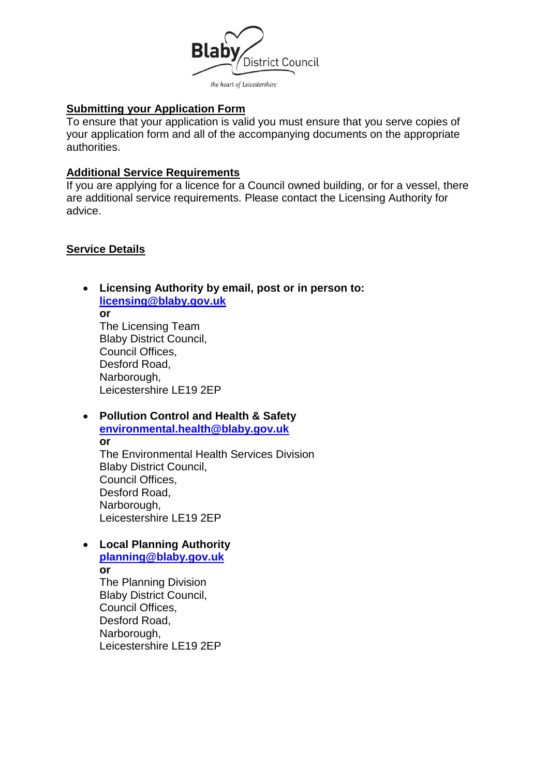

# **Submitting your Application Form**

To ensure that your application is valid you must ensure that you serve copies of your application form and all of the accompanying documents on the appropriate authorities.

### **Additional Service Requirements**

If you are applying for a licence for a Council owned building, or for a vessel, there are additional service requirements. Please contact the Licensing Authority for advice.

## **Service Details**

 **Licensing Authority by email, post or in person to: [licensing@blaby.gov.uk](mailto:licensing@blaby.gov.uk)**

**or** The Licensing Team Blaby District Council, Council Offices, Desford Road, Narborough, Leicestershire LE19 2EP

 **Pollution Control and Health & Safety [environmental.health@blaby.gov.uk](mailto:environmental.health@blaby.gov.uk)  or**

 The Environmental Health Services Division Blaby District Council, Council Offices, Desford Road, Narborough, Leicestershire LE19 2EP

## **Local Planning Authority**

**[planning@blaby.gov.uk](mailto:planning@blaby.gov.uk)  or** The Planning Division Blaby District Council, Council Offices, Desford Road, Narborough, Leicestershire LE19 2EP